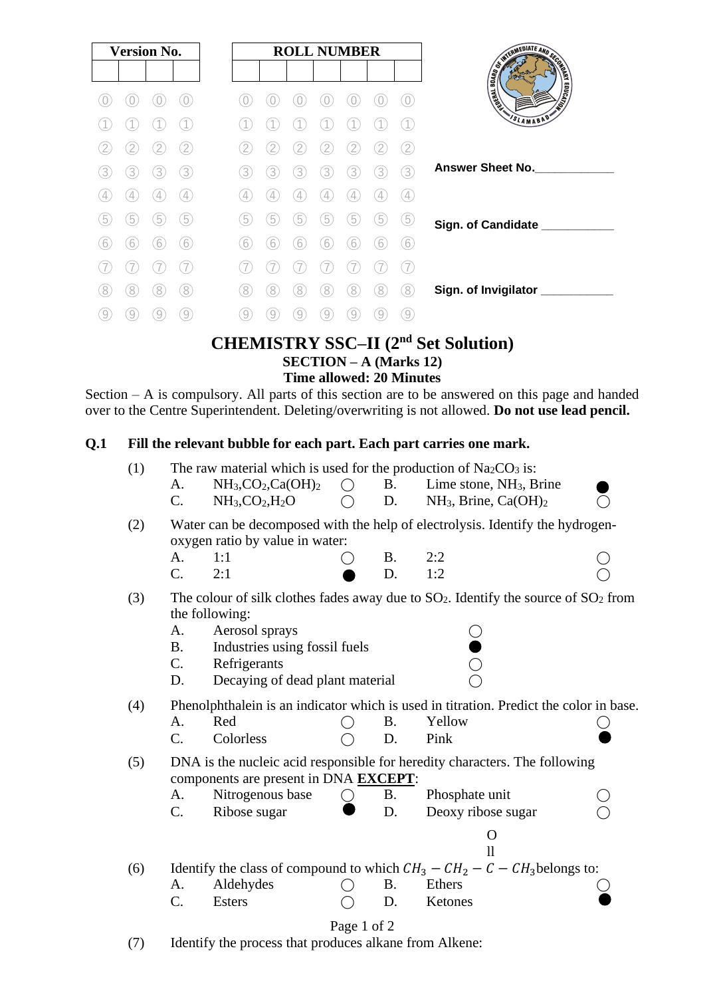| <b>Version No.</b>            |               | <b>ROLL NUMBER</b>     |                                 |
|-------------------------------|---------------|------------------------|---------------------------------|
|                               |               |                        |                                 |
|                               |               | $\bigcirc$             | <b>CONTRACTOR AND RESIDENCE</b> |
|                               |               |                        | SLAMABAD                        |
| $\overline{2}$                |               | 2                      |                                 |
| 3<br>3<br>3<br>3              | 3<br>3<br>3   | 3<br>3<br>3<br>3       | <b>Answer Sheet No.</b>         |
| $\frac{1}{2}$<br>4<br>4       | 4<br>4<br>4   | $\left[ 4\right]$<br>4 |                                 |
| 5<br>5<br>5<br>5              | 5<br>5<br>5   | 5<br>5<br>5<br>5       | Sign. of Candidate _________    |
| 6<br>6<br>6<br>6              | 6<br>6<br>6   | 6<br>6<br>6<br>O       |                                 |
|                               |               |                        |                                 |
| 8)<br>8.<br>8<br>8            | 8<br>8<br>8   | 8<br>8<br>8<br>8       | Sign. of Invigilator            |
| $\overline{9}$<br>9<br>9<br>9 | 9<br>΄9<br>΄9 | 9<br>9<br>9            |                                 |
|                               |               |                        |                                 |

# **CHEMISTRY SSC–II (2nd Set Solution) SECTION – A (Marks 12)**

# **Time allowed: 20 Minutes**

Section – A is compulsory. All parts of this section are to be answered on this page and handed over to the Centre Superintendent. Deleting/overwriting is not allowed. **Do not use lead pencil.**

#### **Q.1 Fill the relevant bubble for each part. Each part carries one mark.**

| (1)         | The raw material which is used for the production of $Na2CO3$ is:                      |                                               |           |           |                                                                                          |  |
|-------------|----------------------------------------------------------------------------------------|-----------------------------------------------|-----------|-----------|------------------------------------------------------------------------------------------|--|
|             | A.                                                                                     | $NH3, CO2, Ca(OH)2$                           | $\bigcap$ | <b>B.</b> | Lime stone, NH <sub>3</sub> , Brine                                                      |  |
|             | C.                                                                                     | $NH3,CO2,H2O$                                 |           | D.        | NH <sub>3</sub> , Brine, Ca(OH) <sub>2</sub>                                             |  |
| (2)         |                                                                                        | oxygen ratio by value in water:               |           |           | Water can be decomposed with the help of electrolysis. Identify the hydrogen-            |  |
|             | A.                                                                                     | 1:1                                           |           | <b>B.</b> | 2:2                                                                                      |  |
|             | $C_{\cdot}$                                                                            | 2:1                                           |           | D.        | 1:2                                                                                      |  |
| (3)         | A.                                                                                     | the following:<br>Aerosol sprays              |           |           | The colour of silk clothes fades away due to $SO_2$ . Identify the source of $SO_2$ from |  |
|             | <b>B.</b>                                                                              | Industries using fossil fuels                 |           |           |                                                                                          |  |
|             | $\mathsf{C}$ .                                                                         | Refrigerants                                  |           |           |                                                                                          |  |
|             | D.                                                                                     | Decaying of dead plant material               |           |           |                                                                                          |  |
| (4)         | Phenolphthalein is an indicator which is used in titration. Predict the color in base. |                                               |           |           |                                                                                          |  |
|             | A.                                                                                     | Red                                           |           | <b>B.</b> | Yellow                                                                                   |  |
|             | $\mathcal{C}$ .                                                                        | Colorless                                     |           | D.        | Pink                                                                                     |  |
| (5)         |                                                                                        | components are present in DNA <b>EXCEPT</b> : |           |           | DNA is the nucleic acid responsible for heredity characters. The following               |  |
|             | A.                                                                                     | Nitrogenous base                              |           | Β.        | Phosphate unit                                                                           |  |
|             | C.                                                                                     | Ribose sugar                                  |           | D.        | Deoxy ribose sugar                                                                       |  |
|             |                                                                                        |                                               |           |           | O<br>$\overline{\mathbf{1}}$                                                             |  |
| (6)         |                                                                                        |                                               |           |           | Identify the class of compound to which $CH_3 - CH_2 - C - CH_3$ belongs to:             |  |
|             | A.                                                                                     | Aldehydes                                     |           | <b>B.</b> | Ethers                                                                                   |  |
|             | $\mathcal{C}$ .                                                                        | <b>Esters</b>                                 |           | D.        | Ketones                                                                                  |  |
| Page 1 of 2 |                                                                                        |                                               |           |           |                                                                                          |  |

(7) Identify the process that produces alkane from Alkene: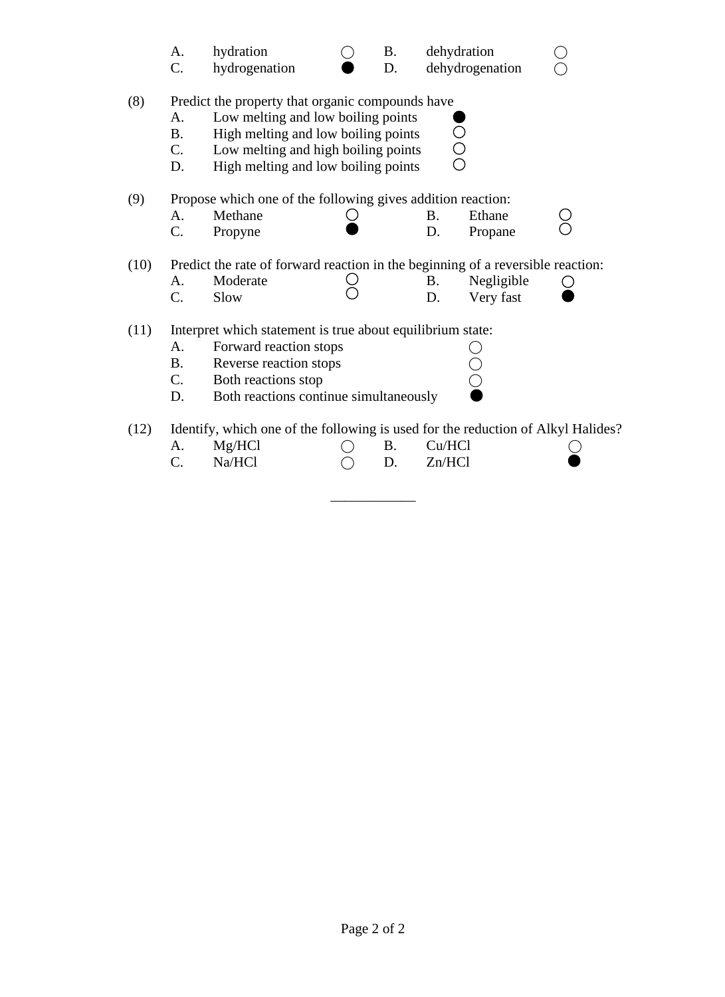|                                                                                         | A.<br>C.                                                                         | hydration<br>hydrogenation                                                                                                                                                                                  |  | <b>B.</b><br>D. | dehydration | dehydrogenation |  |
|-----------------------------------------------------------------------------------------|----------------------------------------------------------------------------------|-------------------------------------------------------------------------------------------------------------------------------------------------------------------------------------------------------------|--|-----------------|-------------|-----------------|--|
| (8)                                                                                     | A.<br><b>B.</b><br>C.<br>D.                                                      | Predict the property that organic compounds have<br>Low melting and low boiling points<br>High melting and low boiling points<br>Low melting and high boiling points<br>High melting and low boiling points |  |                 |             |                 |  |
| (9)                                                                                     | Propose which one of the following gives addition reaction:                      |                                                                                                                                                                                                             |  |                 |             |                 |  |
|                                                                                         | A.                                                                               | Methane                                                                                                                                                                                                     |  |                 | <b>B.</b>   | Ethane          |  |
|                                                                                         | C.                                                                               | Propyne                                                                                                                                                                                                     |  |                 | D.          | Propane         |  |
| (10)<br>Predict the rate of forward reaction in the beginning of a reversible reaction: |                                                                                  |                                                                                                                                                                                                             |  |                 |             |                 |  |
|                                                                                         | A.                                                                               | Moderate                                                                                                                                                                                                    |  |                 | <b>B.</b>   | Negligible      |  |
|                                                                                         | C.                                                                               | Slow                                                                                                                                                                                                        |  |                 | D.          | Very fast       |  |
| Interpret which statement is true about equilibrium state:<br>(11)                      |                                                                                  |                                                                                                                                                                                                             |  |                 |             |                 |  |
|                                                                                         | A.                                                                               | Forward reaction stops                                                                                                                                                                                      |  |                 |             |                 |  |
|                                                                                         | <b>B.</b>                                                                        | Reverse reaction stops                                                                                                                                                                                      |  |                 |             |                 |  |
|                                                                                         | C.                                                                               | Both reactions stop                                                                                                                                                                                         |  |                 |             |                 |  |
|                                                                                         | Both reactions continue simultaneously<br>D.                                     |                                                                                                                                                                                                             |  |                 |             |                 |  |
| (12)                                                                                    | Identify, which one of the following is used for the reduction of Alkyl Halides? |                                                                                                                                                                                                             |  |                 |             |                 |  |
|                                                                                         | A.                                                                               | Mg/HCl                                                                                                                                                                                                      |  | <b>B.</b>       | Cu/HCl      |                 |  |
|                                                                                         | $\mathcal{C}$ .                                                                  | Na/HCl                                                                                                                                                                                                      |  | D.              | Zn/HC1      |                 |  |

\_\_\_\_\_\_\_\_\_\_\_\_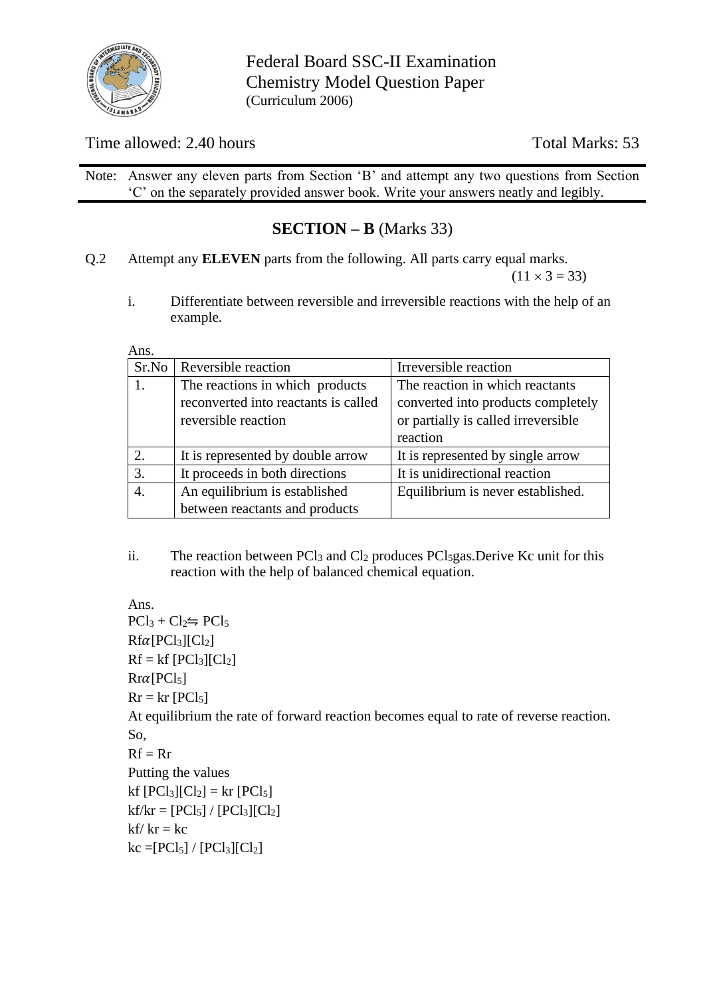

Federal Board SSC-II Examination Chemistry Model Question Paper (Curriculum 2006)

# Time allowed: 2.40 hours Total Marks: 53

Note: Answer any eleven parts from Section 'B' and attempt any two questions from Section 'C' on the separately provided answer book. Write your answers neatly and legibly.

# **SECTION – B** (Marks 33)

Q.2 Attempt any **ELEVEN** parts from the following. All parts carry equal marks.

 $(11 \times 3 = 33)$ 

i. Differentiate between reversible and irreversible reactions with the help of an example.

|    | Sr.No   Reversible reaction          | Irreversible reaction               |
|----|--------------------------------------|-------------------------------------|
| 1. | The reactions in which products      | The reaction in which reactants     |
|    | reconverted into reactants is called | converted into products completely  |
|    | reversible reaction                  | or partially is called irreversible |
|    |                                      | reaction                            |
| 2. | It is represented by double arrow    | It is represented by single arrow   |
| 3. | It proceeds in both directions       | It is unidirectional reaction       |
|    | An equilibrium is established        | Equilibrium is never established.   |
|    | between reactants and products       |                                     |

ii. The reaction between  $PCl<sub>3</sub>$  and  $Cl<sub>2</sub>$  produces  $PCl<sub>5</sub>gas$ . Derive Kc unit for this reaction with the help of balanced chemical equation.

Ans.  $PCl_3 + Cl_2 \leftrightharpoons PCl_5$  $Rf\alpha[PCl_3][Cl_2]$  $Rf = kf [PCl<sub>3</sub>][Cl<sub>2</sub>]$  $Rr\alpha[PCl_5]$  $Rr = kr$  [PCl<sub>5</sub>] At equilibrium the rate of forward reaction becomes equal to rate of reverse reaction. So,  $Rf = Rr$ Putting the values  $kf [PCl_3][Cl_2] = kr [PCl_5]$  $kf/kr = [PCl_5] / [PCl_3][Cl_2]$  $kf/kr = kc$  $kc = [PCl<sub>5</sub>] / [PCl<sub>3</sub>][Cl<sub>2</sub>]$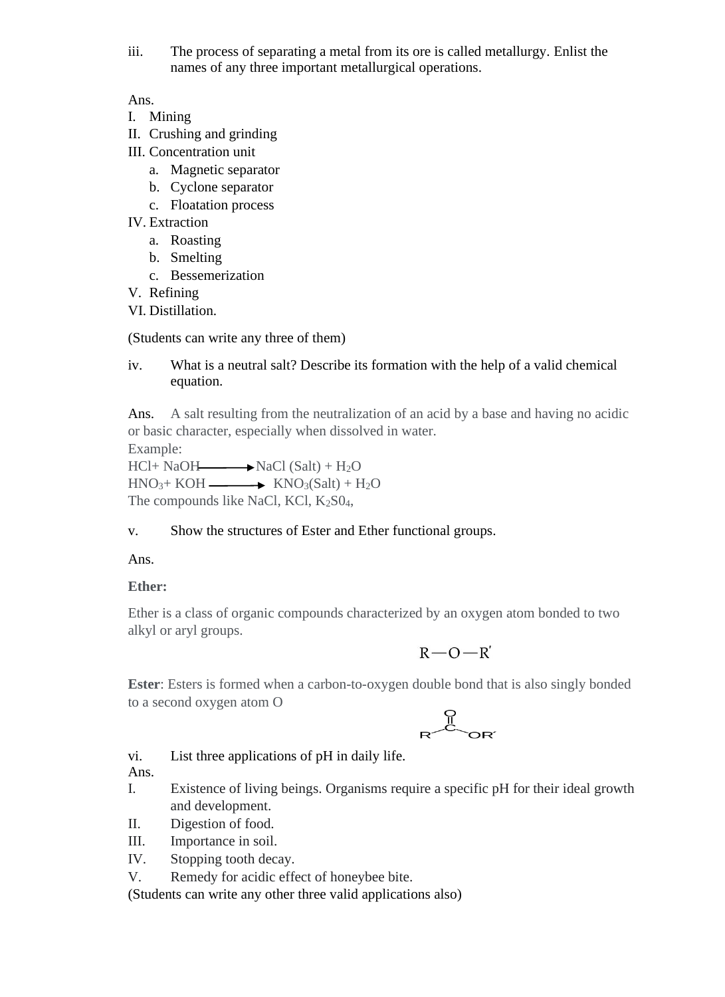iii. The process of separating a metal from its ore is called metallurgy. Enlist the names of any three important metallurgical operations.

Ans.

- I. Mining
- II. Crushing and grinding
- III. Concentration unit
	- a. Magnetic separator
	- b. Cyclone separator
	- c. Floatation process
- IV. Extraction
	- a. Roasting
	- b. Smelting
	- c. Bessemerization

V. Refining

VI. Distillation.

## (Students can write any three of them)

# iv. What is a neutral salt? Describe its formation with the help of a valid chemical equation.

Ans. A salt resulting from the neutralization of an acid by a base and having no acidic or basic character, especially when dissolved in water.

Example:

 $HCl+ NaOH \longrightarrow NaCl (Salt) + H<sub>2</sub>O$  $HNO<sub>3</sub>+ KOH$  KNO<sub>3</sub>(Salt) + H<sub>2</sub>O The compounds like NaCl, KCl,  $K_2SO_4$ ,

## v. Show the structures of Ester and Ether functional groups.

Ans.

# **Ether:**

Ether is a class of organic compounds characterized by an oxygen atom bonded to two alkyl or aryl groups.

 $R-O-R'$ 

**Ester**: Esters is formed when a carbon-to-oxygen double bond that is also singly bonded to a second oxygen atom O



vi. List three applications of pH in daily life.

Ans.

- I. Existence of living beings. Organisms require a specific pH for their ideal growth and development.
- II. Digestion of food.
- III. Importance in soil.
- IV. Stopping tooth decay.
- V. Remedy for acidic effect of honeybee bite.

(Students can write any other three valid applications also)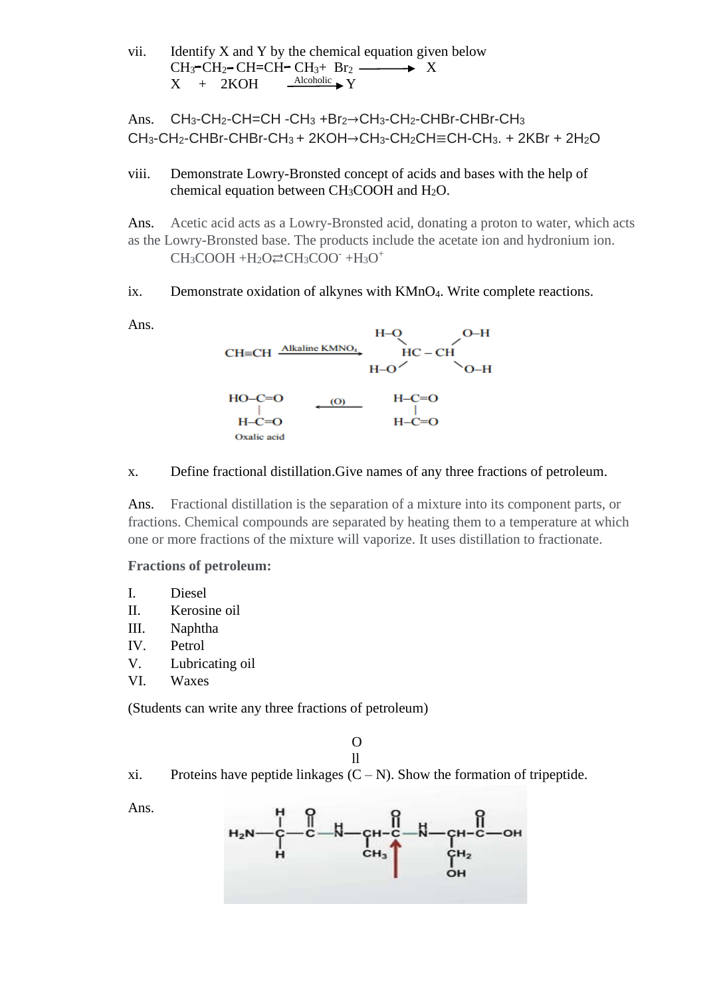vii. Identify  $X$  and  $Y$  by the chemical equation given below  $CH_3$ <sup>-</sup>CH<sub>2</sub>-CH=CH<sup>-</sup>CH<sub>3</sub>+ Br<sub>2</sub>  $\longrightarrow$  X<br>X + 2KOH  $\frac{\text{Alcoholic}}{\text{Alcoholic}}$  Y  $X + 2KOH$ 

Ans. CH3-CH2-CH=CH -CH<sup>3</sup> +Br2→CH3-CH2-CHBr-CHBr-CH<sup>3</sup>  $CH_3$ -CH<sub>2</sub>-CHBr-CHBr-CH<sub>3</sub> + 2KOH→CH<sub>3</sub>-CH<sub>2</sub>CH≡CH-CH<sub>3</sub>. + 2KBr + 2H<sub>2</sub>O

viii. Demonstrate Lowry-Bronsted concept of acids and bases with the help of chemical equation between CH3COOH and H2O.

Ans. Acetic acid acts as a Lowry-Bronsted acid, donating a proton to water, which acts as the Lowry-Bronsted base. The products include the acetate ion and hydronium ion.  $CH<sub>3</sub>COOH + H<sub>2</sub>O \rightleftarrows CH<sub>3</sub>COO + H<sub>3</sub>O<sup>+</sup>$ 

ix. Demonstrate oxidation of alkynes with KMnO<sub>4</sub>. Write complete reactions.

Ans.



#### x. Define fractional distillation.Give names of any three fractions of petroleum.

Ans. Fractional distillation is the separation of a mixture into its component parts, or fractions. Chemical compounds are separated by heating them to a temperature at which one or more fractions of the mixture will vaporize. It uses distillation to fractionate.

#### **Fractions of petroleum:**

- I. Diesel
- II. Kerosine oil
- III. Naphtha
- IV. Petrol
- V. Lubricating oil
- VI. Waxes

(Students can write any three fractions of petroleum)

#### O ll

xi. Proteins have peptide linkages  $(C - N)$ . Show the formation of tripeptide.

Ans.

$$
H_{2}N-\frac{1}{C}-C-M-\frac{C}{C}+C-M-\frac{C}{C}+C-M-\frac{C}{C}+C-M-\frac{C}{C}+C-M-\frac{C}{C}+C-M-\frac{C}{C}+C-M-\frac{C}{C}+C-M-\frac{C}{C}+C-M-\frac{C}{C}+C-M-\frac{C}{C}+C-M-\frac{C}{C}+C-M-\frac{C}{C}+C-M-\frac{C}{C}+C-M-\frac{C}{C}+C-M-\frac{C}{C}+C-M-\frac{C}{C}+C-M-\frac{C}{C}+C-M-\frac{C}{C}+C-M-\frac{C}{C}+C-M-\frac{C}{C}+C-M-\frac{C}{C}+C-M-\frac{C}{C}+C-M-\frac{C}{C}+C-M-\frac{C}{C}+C-M-\frac{C}{C}+C-M-\frac{C}{C}+C-M-\frac{C}{C}+C-M-\frac{C}{C}+C-M-\frac{C}{C}+C-M-\frac{C}{C}+C-M-\frac{C}{C}+C-M-\frac{C}{C}+C-M-\frac{C}{C}+C-M-\frac{C}{C}+C-M-\frac{C}{C}+C-M-\frac{C}{C}+C-M-\frac{C}{C}+C-M-\frac{C}{C}+C-M-\frac{C}{C}+C-M-\frac{C}{C}+C-M-\frac{C}{C}+C-M-\frac{C}{C}+C-M-\frac{C}{C}+C-M-\frac{C}{C}+C-M-\frac{C}{C}+C-M-\frac{C}{C}+C-M-\frac{C}{C}+C-M-\frac{C}{C}+C-M-\frac{C}{C}+C-M-\frac{C}{C}+C-M-\frac{C}{C}+C-M-\frac{C}{C}+C-M-\frac{C}{C}+C-M-\frac{C}{C}+C-M-\frac{C}{C}+C-M-\frac{C}{C}+C-M-\frac{C}{C}+C-M-\frac{C}{C}+C-M-\frac{C}{C}+C-M-\frac{C}{C}+C-M-\frac{C}{C}+C-M-\frac{C}{C}+C-M-\frac{C}{C}+C-M-\frac{C}{C}+C-M-\frac{C}{C}+C-M-\frac{C}{C}+C-M-\frac{C}{C}+C-M-\frac{C}{C}+C-M-\frac{C}{C}+C-M-\frac{C}{C}+C-M-\frac{C}{C}+C-M-\frac{C}{C}+C-M-\frac{C}{C}+C-M-\frac{C}{C}+C-M-\frac{C}{
$$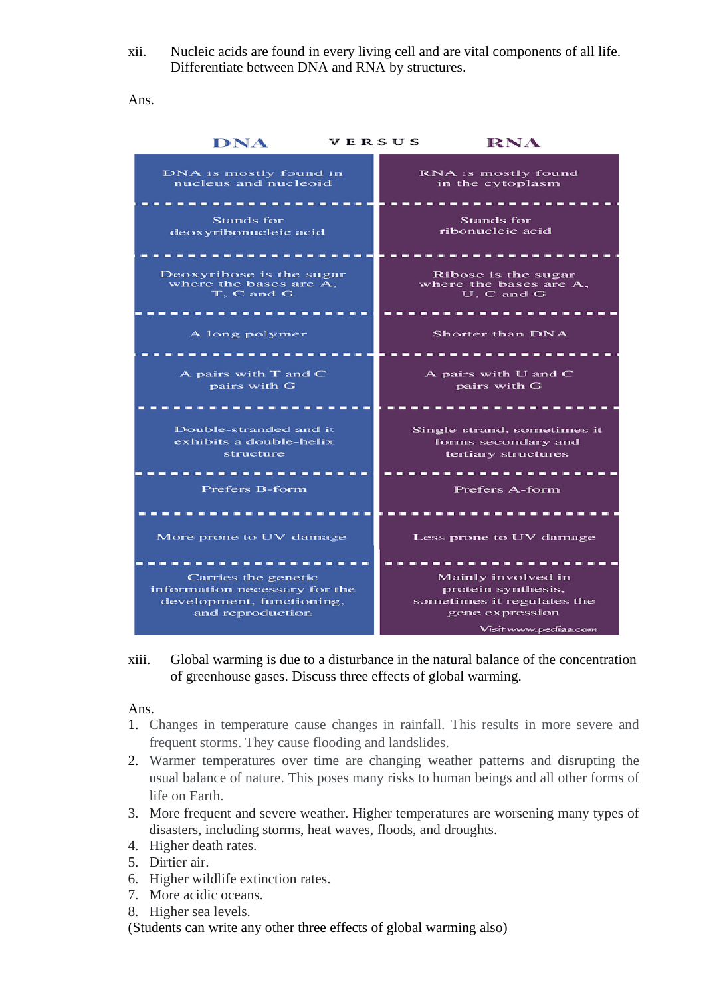xii. Nucleic acids are found in every living cell and are vital components of all life. Differentiate between DNA and RNA by structures.

Ans.

| VERSUS<br><b>DNA</b>                                             | <b>RNA</b>                                                                |
|------------------------------------------------------------------|---------------------------------------------------------------------------|
| DNA is mostly found in<br>nucleus and nucleoid                   | RNA is mostly found<br>in the cytoplasm                                   |
| Stands for<br>deoxyribonucleic acid                              | Stands for<br>ribonucleic acid                                            |
| Deoxyribose is the sugar<br>where the bases are A.<br>T. C and G | Ribose is the sugar<br>where the bases are A.<br>U. C and G               |
| A long polymer                                                   | Shorter than DNA                                                          |
| A pairs with T and C<br>pairs with G                             | A pairs with U and C<br>pairs with G                                      |
|                                                                  |                                                                           |
| Double-stranded and it<br>exhibits a double-helix<br>structure   | Single-strand, sometimes it<br>forms secondary and<br>tertiary structures |
| Prefers B-form                                                   | Prefers A-form                                                            |
|                                                                  |                                                                           |
| More prone to UV damage                                          | Less prone to UV damage                                                   |
|                                                                  |                                                                           |
| Carries the genetic                                              | Mainly involved in                                                        |
| information necessary for the                                    | protein synthesis,                                                        |
| development, functioning,<br>and reproduction                    | sometimes it regulates the<br>gene expression                             |
|                                                                  | Visit www.pediaa.com                                                      |

xiii. Global warming is due to a disturbance in the natural balance of the concentration of greenhouse gases. Discuss three effects of global warming.

#### Ans.

- 1. Changes in temperature cause changes in rainfall. This results in more severe and frequent storms. They cause flooding and landslides.
- 2. Warmer temperatures over time are changing weather patterns and disrupting the usual balance of nature. This poses many risks to human beings and all other forms of life on Earth.
- 3. More frequent and severe weather. Higher temperatures are worsening many types of disasters, including storms, heat waves, floods, and droughts.
- 4. Higher death rates.
- 5. Dirtier air.
- 6. Higher wildlife extinction rates.
- 7. More acidic oceans.
- 8. Higher sea levels.
- (Students can write any other three effects of global warming also)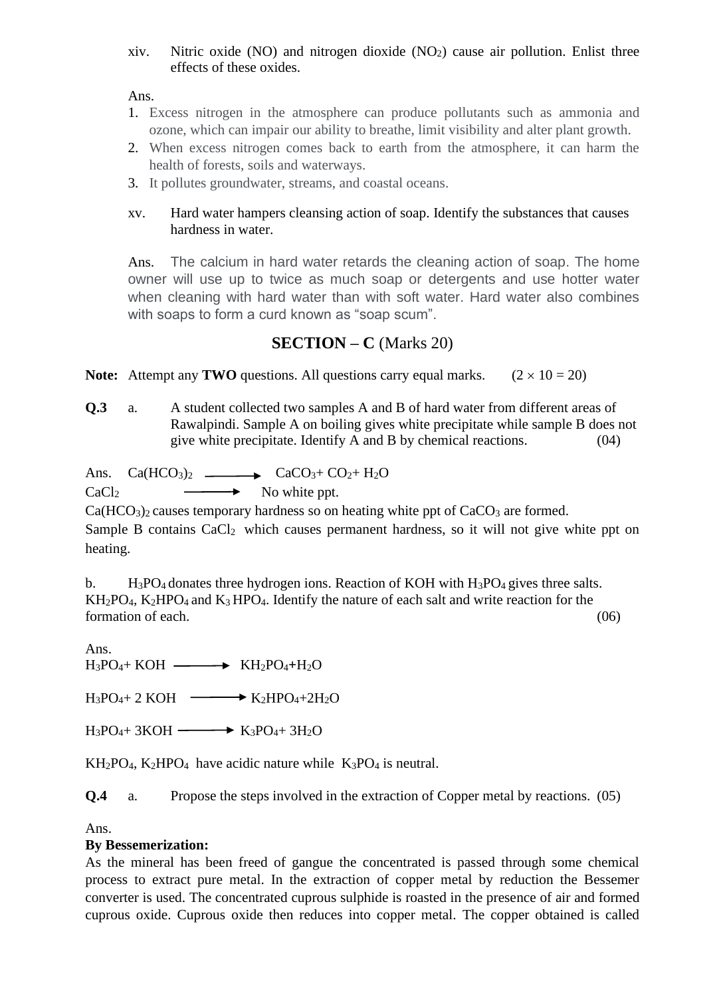xiv. Nitric oxide (NO) and nitrogen dioxide  $(NO<sub>2</sub>)$  cause air pollution. Enlist three effects of these oxides.

Ans.

- 1. Excess nitrogen in the atmosphere can produce pollutants such as ammonia and ozone, which can impair our ability to breathe, limit visibility and alter plant growth.
- 2. When excess nitrogen comes back to earth from the atmosphere, it can harm the health of forests, soils and waterways.
- 3. It pollutes groundwater, streams, and coastal oceans.

# xv. Hard water hampers cleansing action of soap. Identify the substances that causes hardness in water.

Ans. The calcium in hard water retards the cleaning action of soap. The home owner will use up to twice as much soap or detergents and use hotter water when cleaning with hard water than with soft water. Hard water also combines with soaps to form a curd known as "soap scum".

# **SECTION – C** (Marks 20)

**Note:** Attempt any **TWO** questions. All questions carry equal marks.  $(2 \times 10 = 20)$ 

**Q.3** a. A student collected two samples A and B of hard water from different areas of Rawalpindi. Sample A on boiling gives white precipitate while sample B does not give white precipitate. Identify A and B by chemical reactions. (04)

Ans.  $Ca(HCO<sub>3</sub>)<sub>2</sub>$   $\longrightarrow$   $CaCO<sub>3</sub>+CO<sub>2</sub>+H<sub>2</sub>O$  $CaCl<sub>2</sub>$  No white ppt.

 $Ca(HCO<sub>3</sub>)<sub>2</sub>$  causes temporary hardness so on heating white ppt of  $CaCO<sub>3</sub>$  are formed. Sample B contains  $CaCl<sub>2</sub>$  which causes permanent hardness, so it will not give white ppt on heating.

b.  $H_3PO_4$  donates three hydrogen ions. Reaction of KOH with  $H_3PO_4$  gives three salts.  $KH_2PO_4$ ,  $K_2HPO_4$  and  $K_3HPO_4$ . Identify the nature of each salt and write reaction for the formation of each.  $(06)$ 

Ans. H<sub>3</sub>PO<sub>4</sub>+ KOH → KH<sub>2</sub>PO<sub>4</sub>+H<sub>2</sub>O

 $H_3PO_4+2 KOH$   $\longrightarrow K_2HPO_4+2H_2O$ 

 $H_3PO_4+3KOH \longrightarrow K_3PO_4+3H_2O$ 

 $KH_2PO_4$ ,  $K_2HPO_4$  have acidic nature while  $K_3PO_4$  is neutral.

**Q.4** a. Propose the steps involved in the extraction of Copper metal by reactions. (05)

## Ans.

## **By Bessemerization:**

As the mineral has been freed of gangue the concentrated is passed through some chemical process to extract pure metal. In the extraction of copper metal by reduction the Bessemer converter is used. The concentrated cuprous sulphide is roasted in the presence of air and formed cuprous oxide. Cuprous oxide then reduces into copper metal. The copper obtained is called